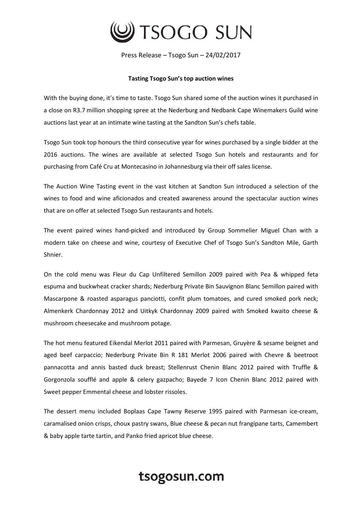

Press Release – Tsogo Sun – 24/02/2017

## **Tasting Tsogo Sun's top auction wines**

With the buying done, it's time to taste. Tsogo Sun shared some of the auction wines it purchased in a close on R3.7 million shopping spree at the Nederburg and Nedbank Cape Winemakers Guild wine auctions last year at an intimate wine tasting at the Sandton Sun's chefs table.

Tsogo Sun took top honours the third consecutive year for wines purchased by a single bidder at the 2016 auctions. The wines are available at selected Tsogo Sun hotels and restaurants and for purchasing from Café Cru at Montecasino in Johannesburg via their off sales license.

The Auction Wine Tasting event in the vast kitchen at Sandton Sun introduced a selection of the wines to food and wine aficionados and created awareness around the spectacular auction wines that are on offer at selected Tsogo Sun restaurants and hotels.

The event paired wines hand-picked and introduced by Group Sommelier Miguel Chan with a modern take on cheese and wine, courtesy of Executive Chef of Tsogo Sun's Sandton Mile, Garth Shnier.

On the cold menu was Fleur du Cap Unfiltered Semillon 2009 paired with Pea & whipped feta espuma and buckwheat cracker shards; Nederburg Private Bin Sauvignon Blanc Semillon paired with Mascarpone & roasted asparagus panciotti, confit plum tomatoes, and cured smoked pork neck; Almenkerk Chardonnay 2012 and Uitkyk Chardonnay 2009 paired with Smoked kwaito cheese & mushroom cheesecake and mushroom potage.

The hot menu featured Eikendal Merlot 2011 paired with Parmesan, Gruyère & sesame beignet and aged beef carpaccio; Nederburg Private Bin R 181 Merlot 2006 paired with Chevre & beetroot pannacotta and annis basted duck breast; Stellenrust Chenin Blanc 2012 paired with Truffle & Gorgonzola soufflé and apple & celery gazpacho; Bayede 7 Icon Chenin Blanc 2012 paired with Sweet pepper Emmental cheese and lobster rissoles.

The dessert menu included Boplaas Cape Tawny Reserve 1995 paired with Parmesan ice-cream, caramalised onion crisps, choux pastry swans, Blue cheese & pecan nut frangipane tarts, Camembert & baby apple tarte tartin, and Panko fried apricot blue cheese.

## tsogosun.com